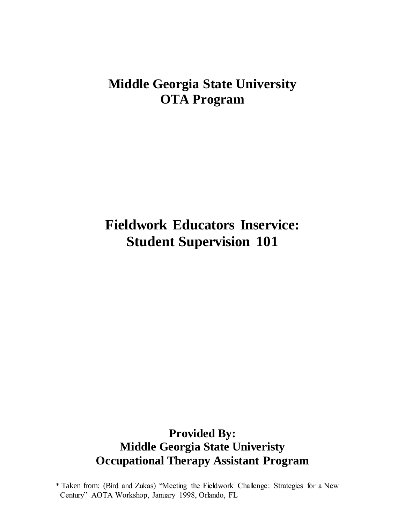# **Middle Georgia State University OTA Program**

# **Fieldwork Educators Inservice: Student Supervision 101**

# **Provided By: Middle Georgia State Univeristy Occupational Therapy Assistant Program**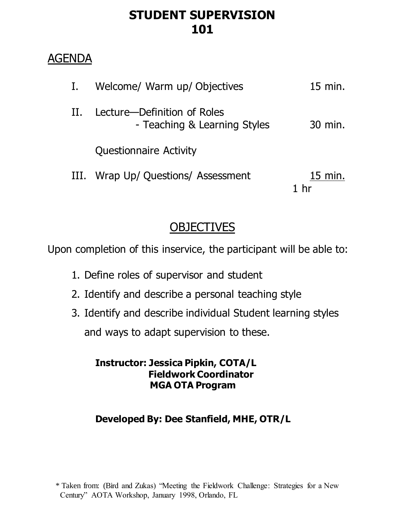# **STUDENT SUPERVISION 101**

# AGENDA

|      | Welcome/ Warm up/ Objectives                                | 15 min.                   |
|------|-------------------------------------------------------------|---------------------------|
| Н.   | Lecture—Definition of Roles<br>- Teaching & Learning Styles | 30 min.                   |
|      | <b>Questionnaire Activity</b>                               |                           |
| III. | Wrap Up/ Questions/ Assessment                              | $15 \text{ min.}$<br>1 hr |

# **OBJECTIVES**

Upon completion of this inservice, the participant will be able to:

- 1. Define roles of supervisor and student
- 2. Identify and describe a personal teaching style
- 3. Identify and describe individual Student learning styles and ways to adapt supervision to these.

## **Instructor: Jessica Pipkin, COTA/L Fieldwork Coordinator MGA OTA Program**

# **Developed By: Dee Stanfield, MHE, OTR/L**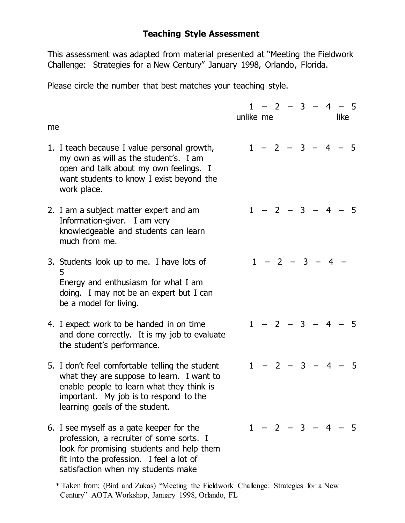### **Teaching Style Assessment**

This assessment was adapted from material presented at "Meeting the Fieldwork Challenge: Strategies for a New Century" January 1998, Orlando, Florida.

Please circle the number that best matches your teaching style.

| me |                                                                                                                                                                                                                       | unlike me |  |                   |  | $1 - 2 - 3 - 4 - 5$<br>like |  |
|----|-----------------------------------------------------------------------------------------------------------------------------------------------------------------------------------------------------------------------|-----------|--|-------------------|--|-----------------------------|--|
|    | 1. I teach because I value personal growth,<br>my own as will as the student's. I am<br>open and talk about my own feelings. I<br>want students to know I exist beyond the<br>work place.                             |           |  |                   |  | $1 - 2 - 3 - 4 - 5$         |  |
|    | 2. I am a subject matter expert and am<br>Information-giver. I am very<br>knowledgeable and students can learn<br>much from me.                                                                                       |           |  |                   |  | $1 - 2 - 3 - 4 - 5$         |  |
|    | 3. Students look up to me. I have lots of<br>5<br>Energy and enthusiasm for what I am<br>doing. I may not be an expert but I can<br>be a model for living.                                                            |           |  | $1 - 2 - 3 - 4 -$ |  |                             |  |
|    | 4. I expect work to be handed in on time<br>and done correctly. It is my job to evaluate<br>the student's performance.                                                                                                |           |  |                   |  | $1 - 2 - 3 - 4 - 5$         |  |
|    | 5. I don't feel comfortable telling the student<br>what they are suppose to learn. I want to<br>enable people to learn what they think is<br>important. My job is to respond to the<br>learning goals of the student. |           |  |                   |  | $1 - 2 - 3 - 4 - 5$         |  |
|    | 6. I see myself as a gate keeper for the<br>profession, a recruiter of some sorts. I<br>look for promising students and help them<br>fit into the profession. I feel a lot of<br>satisfaction when my students make   |           |  |                   |  | $1 - 2 - 3 - 4 - 5$         |  |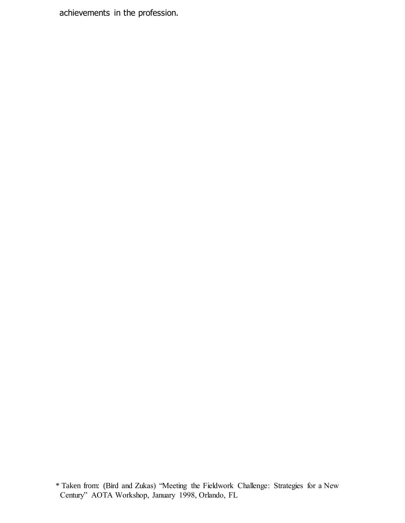achievements in the profession.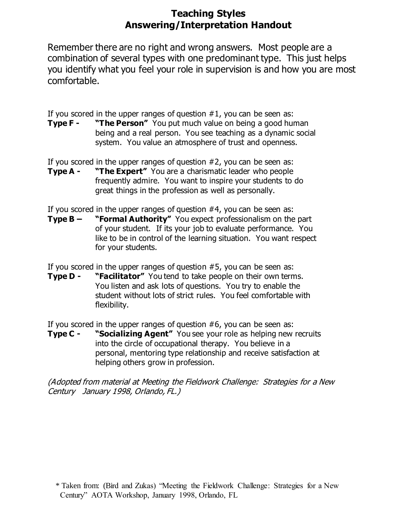## **Teaching Styles Answering/Interpretation Handout**

Remember there are no right and wrong answers. Most people are a combination of several types with one predominant type. This just helps you identify what you feel your role in supervision is and how you are most comfortable.

If you scored in the upper ranges of question  $#1$ , you can be seen as:

**Type F - "The Person"** You put much value on being a good human being and a real person. You see teaching as a dynamic social system. You value an atmosphere of trust and openness.

If you scored in the upper ranges of question #2, you can be seen as:

**Type A - "The Expert"** You are a charismatic leader who people frequently admire. You want to inspire your students to do great things in the profession as well as personally.

If you scored in the upper ranges of question #4, you can be seen as:

**Type B – "Formal Authority"** You expect professionalism on the part of your student. If its your job to evaluate performance. You like to be in control of the learning situation. You want respect for your students.

If you scored in the upper ranges of question #5, you can be seen as:

**Type D - "Facilitator"** You tend to take people on their own terms. You listen and ask lots of questions. You try to enable the student without lots of strict rules. You feel comfortable with flexibility.

If you scored in the upper ranges of question #6, you can be seen as:

**Type C - "Socializing Agent"** You see your role as helping new recruits into the circle of occupational therapy. You believe in a personal, mentoring type relationship and receive satisfaction at helping others grow in profession.

(Adopted from material at Meeting the Fieldwork Challenge: Strategies for a New Century January 1998, Orlando, FL.)

 <sup>\*</sup> Taken from: (Bird and Zukas) "Meeting the Fieldwork Challenge: Strategies for a New Century" AOTA Workshop, January 1998, Orlando, FL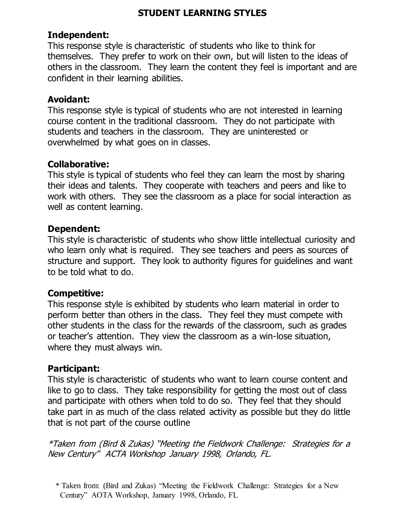### **STUDENT LEARNING STYLES**

### **Independent:**

This response style is characteristic of students who like to think for themselves. They prefer to work on their own, but will listen to the ideas of others in the classroom. They learn the content they feel is important and are confident in their learning abilities.

### **Avoidant:**

This response style is typical of students who are not interested in learning course content in the traditional classroom. They do not participate with students and teachers in the classroom. They are uninterested or overwhelmed by what goes on in classes.

### **Collaborative:**

This style is typical of students who feel they can learn the most by sharing their ideas and talents. They cooperate with teachers and peers and like to work with others. They see the classroom as a place for social interaction as well as content learning.

## **Dependent:**

This style is characteristic of students who show little intellectual curiosity and who learn only what is required. They see teachers and peers as sources of structure and support. They look to authority figures for guidelines and want to be told what to do.

## **Competitive:**

This response style is exhibited by students who learn material in order to perform better than others in the class. They feel they must compete with other students in the class for the rewards of the classroom, such as grades or teacher's attention. They view the classroom as a win-lose situation, where they must always win.

## **Participant:**

This style is characteristic of students who want to learn course content and like to go to class. They take responsibility for getting the most out of class and participate with others when told to do so. They feel that they should take part in as much of the class related activity as possible but they do little that is not part of the course outline

 <sup>\*</sup> Taken from: (Bird and Zukas) "Meeting the Fieldwork Challenge: Strategies for a New Century" AOTA Workshop, January 1998, Orlando, FL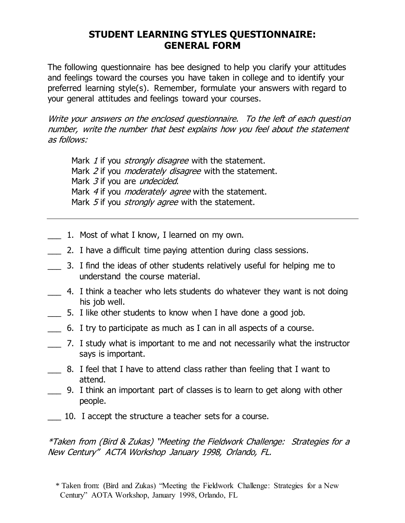## **STUDENT LEARNING STYLES QUESTIONNAIRE: GENERAL FORM**

The following questionnaire has bee designed to help you clarify your attitudes and feelings toward the courses you have taken in college and to identify your preferred learning style(s). Remember, formulate your answers with regard to your general attitudes and feelings toward your courses.

Write your answers on the enclosed questionnaire. To the left of each question number, write the number that best explains how you feel about the statement as follows:

Mark 1 if you *strongly disagree* with the statement. Mark 2 if you *moderately disagree* with the statement. Mark 3 if you are *undecided*. Mark 4 if you *moderately agree* with the statement. Mark 5 if you *strongly agree* with the statement.

- 1. Most of what I know, I learned on my own.
- \_\_\_ 2. I have a difficult time paying attention during class sessions.
- \_\_\_ 3. I find the ideas of other students relatively useful for helping me to understand the course material.
- \_\_\_ 4. I think a teacher who lets students do whatever they want is not doing his job well.
- \_\_\_ 5. I like other students to know when I have done a good job.
- \_\_\_ 6. I try to participate as much as I can in all aspects of a course.
- \_\_\_ 7. I study what is important to me and not necessarily what the instructor says is important.
- \_\_\_ 8. I feel that I have to attend class rather than feeling that I want to attend.
- \_\_\_ 9. I think an important part of classes is to learn to get along with other people.
- \_\_\_ 10. I accept the structure a teacher sets for a course.

 <sup>\*</sup> Taken from: (Bird and Zukas) "Meeting the Fieldwork Challenge: Strategies for a New Century" AOTA Workshop, January 1998, Orlando, FL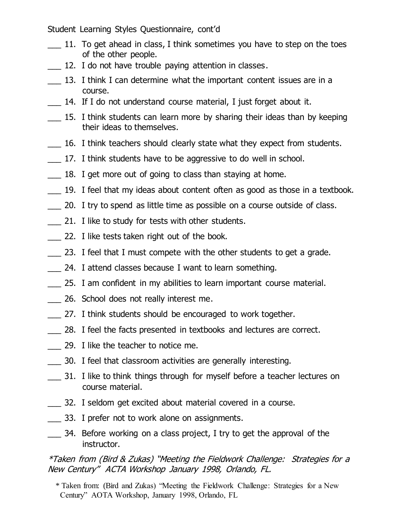Student Learning Styles Questionnaire, cont'd

- 11. To get ahead in class, I think sometimes you have to step on the toes of the other people.
- 12. I do not have trouble paying attention in classes.
- 13. I think I can determine what the important content issues are in a course.
- 14. If I do not understand course material, I just forget about it.
- \_\_\_ 15. I think students can learn more by sharing their ideas than by keeping their ideas to themselves.
- \_\_\_ 16. I think teachers should clearly state what they expect from students.
- \_\_\_ 17. I think students have to be aggressive to do well in school.
- 18. I get more out of going to class than staying at home.
- \_\_\_ 19. I feel that my ideas about content often as good as those in a textbook.
- \_\_\_ 20. I try to spend as little time as possible on a course outside of class.
- 21. I like to study for tests with other students.
- \_\_\_ 22. I like tests taken right out of the book.
- 23. I feel that I must compete with the other students to get a grade.
- \_\_\_ 24. I attend classes because I want to learn something.
- \_\_\_ 25. I am confident in my abilities to learn important course material.
- \_\_\_ 26. School does not really interest me.
- \_\_\_ 27. I think students should be encouraged to work together.
- \_\_\_ 28. I feel the facts presented in textbooks and lectures are correct.
- \_\_\_ 29. I like the teacher to notice me.
- \_\_\_ 30. I feel that classroom activities are generally interesting.
- \_\_\_ 31. I like to think things through for myself before a teacher lectures on course material.
- \_\_\_ 32. I seldom get excited about material covered in a course.
- 33. I prefer not to work alone on assignments.
- \_\_\_ 34. Before working on a class project, I try to get the approval of the instructor.

### \*Taken from (Bird & Zukas) "Meeting the Fieldwork Challenge: Strategies for a New Century" ACTA Workshop January 1998, Orlando, FL.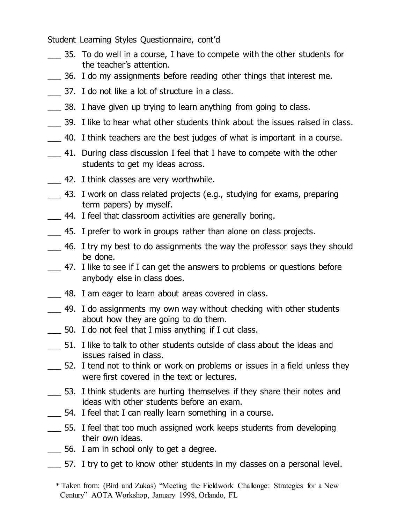Student Learning Styles Questionnaire, cont'd

- \_\_\_ 35. To do well in a course, I have to compete with the other students for the teacher's attention.
- \_\_\_ 36. I do my assignments before reading other things that interest me.
- \_\_\_ 37. I do not like a lot of structure in a class.
- 38. I have given up trying to learn anything from going to class.
- \_\_\_ 39. I like to hear what other students think about the issues raised in class.
- \_\_\_ 40. I think teachers are the best judges of what is important in a course.
- 41. During class discussion I feel that I have to compete with the other students to get my ideas across.
- 42. I think classes are very worthwhile.
- \_\_\_ 43. I work on class related projects (e.g., studying for exams, preparing term papers) by myself.
- 44. I feel that classroom activities are generally boring.
- \_\_\_ 45. I prefer to work in groups rather than alone on class projects.
- \_\_\_ 46. I try my best to do assignments the way the professor says they should be done.
- \_\_\_ 47. I like to see if I can get the answers to problems or questions before anybody else in class does.
- \_\_\_ 48. I am eager to learn about areas covered in class.
- \_\_\_ 49. I do assignments my own way without checking with other students about how they are going to do them.
- \_\_\_ 50. I do not feel that I miss anything if I cut class.
- \_\_\_ 51. I like to talk to other students outside of class about the ideas and issues raised in class.
- \_\_\_ 52. I tend not to think or work on problems or issues in a field unless they were first covered in the text or lectures.
- \_\_\_ 53. I think students are hurting themselves if they share their notes and ideas with other students before an exam.
- 54. I feel that I can really learn something in a course.
- \_\_\_ 55. I feel that too much assigned work keeps students from developing their own ideas.
- \_\_\_ 56. I am in school only to get a degree.
- \_\_\_ 57. I try to get to know other students in my classes on a personal level.

 <sup>\*</sup> Taken from: (Bird and Zukas) "Meeting the Fieldwork Challenge: Strategies for a New Century" AOTA Workshop, January 1998, Orlando, FL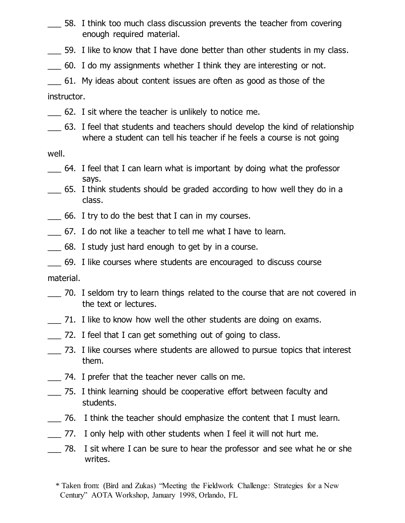- \_\_\_ 58. I think too much class discussion prevents the teacher from covering enough required material.
- \_\_\_ 59. I like to know that I have done better than other students in my class.
- \_\_\_ 60. I do my assignments whether I think they are interesting or not.
- \_\_\_ 61. My ideas about content issues are often as good as those of the

instructor.

- \_\_\_ 62. I sit where the teacher is unlikely to notice me.
- \_\_\_ 63. I feel that students and teachers should develop the kind of relationship where a student can tell his teacher if he feels a course is not going

well.

- \_\_\_ 64. I feel that I can learn what is important by doing what the professor says.
- \_\_\_ 65. I think students should be graded according to how well they do in a class.
- \_\_\_ 66. I try to do the best that I can in my courses.
- \_\_\_ 67. I do not like a teacher to tell me what I have to learn.
- \_\_\_ 68. I study just hard enough to get by in a course.
- \_\_\_ 69. I like courses where students are encouraged to discuss course

material.

- \_\_\_ 70. I seldom try to learn things related to the course that are not covered in the text or lectures.
- \_\_\_ 71. I like to know how well the other students are doing on exams.
- \_\_\_ 72. I feel that I can get something out of going to class.
- \_\_\_ 73. I like courses where students are allowed to pursue topics that interest them.
- \_\_\_ 74. I prefer that the teacher never calls on me.
- \_\_\_ 75. I think learning should be cooperative effort between faculty and students.
- \_\_\_ 76. I think the teacher should emphasize the content that I must learn.
- \_\_\_ 77. I only help with other students when I feel it will not hurt me.
- \_\_\_ 78. I sit where I can be sure to hear the professor and see what he or she writes.
	- \* Taken from: (Bird and Zukas) "Meeting the Fieldwork Challenge: Strategies for a New Century" AOTA Workshop, January 1998, Orlando, FL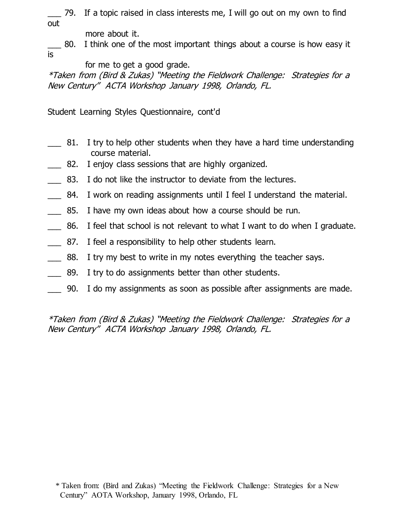\_\_\_ 79. If a topic raised in class interests me, I will go out on my own to find out

more about it.

\_\_\_ 80. I think one of the most important things about a course is how easy it is

for me to get a good grade.

\*Taken from (Bird & Zukas) "Meeting the Fieldwork Challenge: Strategies for a New Century" ACTA Workshop January 1998, Orlando, FL.

Student Learning Styles Questionnaire, cont'd

- 81. I try to help other students when they have a hard time understanding course material.
- 82. I enjoy class sessions that are highly organized.
- 83. I do not like the instructor to deviate from the lectures.
- \_\_\_ 84. I work on reading assignments until I feel I understand the material.
- 85. I have my own ideas about how a course should be run.
- \_\_\_ 86. I feel that school is not relevant to what I want to do when I graduate.
- 87. I feel a responsibility to help other students learn.
- \_\_\_ 88. I try my best to write in my notes everything the teacher says.
- \_\_\_ 89. I try to do assignments better than other students.
- \_\_\_ 90. I do my assignments as soon as possible after assignments are made.

 <sup>\*</sup> Taken from: (Bird and Zukas) "Meeting the Fieldwork Challenge: Strategies for a New Century" AOTA Workshop, January 1998, Orlando, FL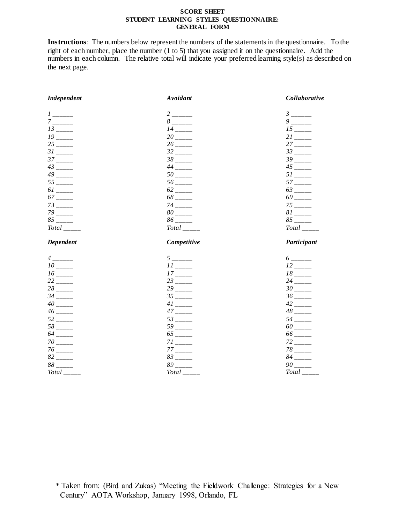#### **SCORE SHEET STUDENT LEARNING STYLES QUESTIONNAIRE: GENERAL FORM**

**Instructions**: The numbers below represent the numbers of the statements in the questionnaire. To the right of each number, place the number (1 to 5) that you assigned it on the questionnaire. Add the numbers in each column. The relative total will indicate your preferred learning style(s) as described on the next page.

| Independent                                      | Avoidant                            | Collaborative                                     |
|--------------------------------------------------|-------------------------------------|---------------------------------------------------|
| $1$ ______                                       |                                     | $\beta$ ______                                    |
| $7$ ______                                       | $8$ _______                         | $9$ _____                                         |
| $13$ <sub>-----</sub>                            | $14$ <sub>-----</sub>               | $15$ <sub>-----</sub>                             |
| $19$ <sub>-----</sub>                            | $20$ <sub>----</sub>                | $21$ <sub>----</sub>                              |
| $25$ <sub>-----</sub>                            | $26$ <sub>-----</sub>               | $27$ <sub>-----</sub>                             |
| $31$ <sub>-----</sub><br>$37$ <sub>-----</sub>   | $32$ _____<br>$38$ <sub>-----</sub> | $33$ <sub>-----</sub><br>$39$ <sub>-----</sub>    |
| $43$ <sub>-----</sub>                            | $44$ <sub>-----</sub>               | $45$ <sub>-----</sub>                             |
| $49$ <sub>-----</sub>                            | $50$ <sub>----</sub>                | $51$ <sub>-----</sub>                             |
| $55$ <sub>-----</sub>                            | $56$ <sub>-----</sub>               | $57$ <sub>----</sub>                              |
| $61$ <sub>-----</sub>                            | $62$ <sub>-----</sub>               | $63$ <sub>-----</sub>                             |
| $67$ <sub>-----</sub>                            | $68$ <sub>-----</sub>               | $69$ <sub>-----</sub>                             |
| $73$ <sub>-----</sub>                            | $74$ <sub>-----</sub>               | $75$ <sub>----</sub>                              |
| $79$ ______                                      | $80$ ______                         | $81$ <sub>-----</sub>                             |
| $85$ <sub>-----</sub>                            | $86$ <sub>-----</sub>               | $85$ <sub>-----</sub>                             |
| $Total$ <sub>_____</sub>                         | $Total$ <sub>_____</sub>            | $Total$ <sub>_____</sub>                          |
|                                                  |                                     |                                                   |
| Dependent                                        | Competitive                         | Participant                                       |
|                                                  |                                     |                                                   |
| $\ensuremath{^{4}}\xspace_{---}$ —<br>$10$ _____ | $5$ ______<br>$11$ <sub>-----</sub> | $6$ ______<br>$12$ <sub>-----</sub>               |
|                                                  | $17$ <sub>-----</sub>               | $18$ <sub>-----</sub>                             |
| $22$ _____                                       | $23$ <sub>----</sub>                | $24$ <sub>-----</sub>                             |
|                                                  | $29$ <sub>----</sub>                | $30$ <sub>-----</sub>                             |
| $34$ ______                                      | $35$ <sub>-----</sub>               |                                                   |
| $40$ $\_$                                        | $41$ <sub>-----</sub>               | $42$ <sub>-----</sub>                             |
| $46$ ______                                      | $47$ <sub>-----</sub>               | $48$ <sub>-----</sub>                             |
| $52$ <sub>-----</sub>                            | $53$ <sub>-----</sub>               | $54$ <sub>-----</sub>                             |
| $58$ _____                                       | $59$ <sub>----</sub>                | $60$ <sub>-----</sub>                             |
| $64$ <sub>-----</sub>                            | $65$ <sub>-----</sub>               | $66$ _____                                        |
| $70$ <sub>-----</sub>                            | $71$ <sub>-----</sub>               | $72$ <sub>----</sub>                              |
| $76$ _____                                       | $83$ <sub>----</sub>                | $78$ <sub>-----</sub><br>$84$ <sub>-----</sub>    |
| $82$ <sub>-----</sub><br>$88$ <sub>-----</sub>   | $89$ <sub>----</sub>                | $90$ <sub>-----</sub><br>$Total$ <sub>-----</sub> |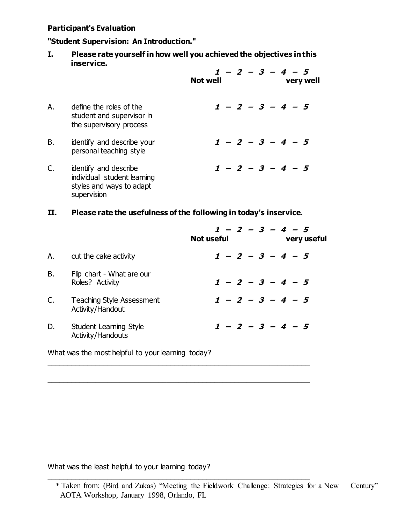#### **Participant's Evaluation**

#### **"Student Supervision: An Introduction."**

**I. Please rate yourself in how well you achieved the objectives in this inservice.**

|    |                                                                                                 | $1 - 2 - 3 - 4 - 5$<br><b>Not well</b><br>very well |
|----|-------------------------------------------------------------------------------------------------|-----------------------------------------------------|
| А. | define the roles of the<br>student and supervisor in<br>the supervisory process                 | $1 - 2 - 3 - 4 - 5$                                 |
| В. | identify and describe your<br>personal teaching style                                           | $1 - 2 - 3 - 4 - 5$                                 |
| C. | identify and describe<br>individual student learning<br>styles and ways to adapt<br>supervision | $1 - 2 - 3 - 4 - 5$                                 |

### **II. Please rate the usefulness of the following in today's inservice.**

|    |                                               | $1 - 2 - 3 - 4 - 5$<br><b>Not useful</b><br>very useful |
|----|-----------------------------------------------|---------------------------------------------------------|
| А. | cut the cake activity                         | $1 - 2 - 3 - 4 - 5$                                     |
| В. | Flip chart - What are our<br>Roles? Activity  | $1 - 2 - 3 - 4 - 5$                                     |
| C. | Teaching Style Assessment<br>Activity/Handout | $1 - 2 - 3 - 4 - 5$                                     |
| D. | Student Learning Style<br>Activity/Handouts   | $1 - 2 - 3 - 4 - 5$                                     |
|    |                                               |                                                         |

\_\_\_\_\_\_\_\_\_\_\_\_\_\_\_\_\_\_\_\_\_\_\_\_\_\_\_\_\_\_\_\_\_\_\_\_\_\_\_\_\_\_\_\_\_\_\_\_\_\_\_\_\_\_\_\_\_\_\_\_\_\_\_\_\_\_

\_\_\_\_\_\_\_\_\_\_\_\_\_\_\_\_\_\_\_\_\_\_\_\_\_\_\_\_\_\_\_\_\_\_\_\_\_\_\_\_\_\_\_\_\_\_\_\_\_\_\_\_\_\_\_\_\_\_\_\_\_\_\_\_\_\_

\_\_\_\_\_\_\_\_\_\_\_\_\_\_\_\_\_\_\_\_\_\_\_\_\_\_\_\_\_\_\_\_\_\_\_\_\_\_\_\_\_\_\_\_\_\_\_\_\_\_\_\_\_\_\_\_\_\_\_\_\_\_\_\_\_\_

What was the most helpful to your learning today?

What was the least helpful to your learning today?

 <sup>\*</sup> Taken from: (Bird and Zukas) "Meeting the Fieldwork Challenge: Strategies for a New Century" AOTA Workshop, January 1998, Orlando, FL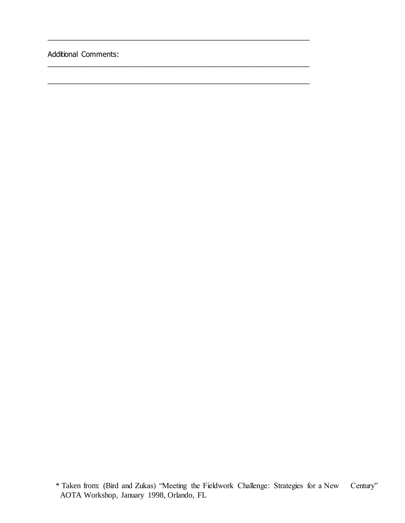Additional Comments:

\_\_\_\_\_\_\_\_\_\_\_\_\_\_\_\_\_\_\_\_\_\_\_\_\_\_\_\_\_\_\_\_\_\_\_\_\_\_\_\_\_\_\_\_\_\_\_\_\_\_\_\_\_\_\_\_\_\_\_\_\_\_\_\_\_\_

\_\_\_\_\_\_\_\_\_\_\_\_\_\_\_\_\_\_\_\_\_\_\_\_\_\_\_\_\_\_\_\_\_\_\_\_\_\_\_\_\_\_\_\_\_\_\_\_\_\_\_\_\_\_\_\_\_\_\_\_\_\_\_\_\_\_

\_\_\_\_\_\_\_\_\_\_\_\_\_\_\_\_\_\_\_\_\_\_\_\_\_\_\_\_\_\_\_\_\_\_\_\_\_\_\_\_\_\_\_\_\_\_\_\_\_\_\_\_\_\_\_\_\_\_\_\_\_\_\_\_\_\_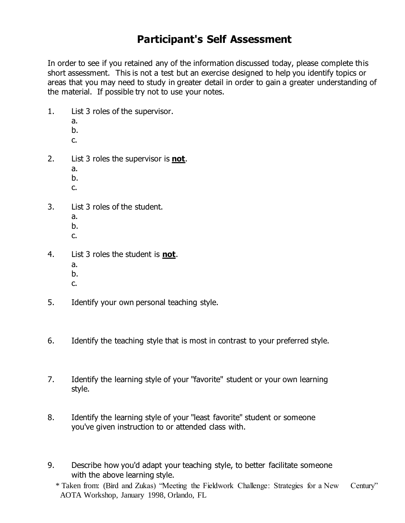# **Participant's Self Assessment**

In order to see if you retained any of the information discussed today, please complete this short assessment. This is not a test but an exercise designed to help you identify topics or areas that you may need to study in greater detail in order to gain a greater understanding of the material. If possible try not to use your notes.

- 1. List 3 roles of the supervisor.
	- a.
	- b.
	- c.
- 2. List 3 roles the supervisor is **not**.
	- a.
	- b.
	- c.
- 3. List 3 roles of the student.
	- a.
	- b.
	- c.
- 4. List 3 roles the student is **not**.
	- a.
	- b.
	- c.
- 5. Identify your own personal teaching style.
- 6. Identify the teaching style that is most in contrast to your preferred style.
- 7. Identify the learning style of your "favorite" student or your own learning style.
- 8. Identify the learning style of your "least favorite" student or someone you've given instruction to or attended class with.
- 9. Describe how you'd adapt your teaching style, to better facilitate someone with the above learning style.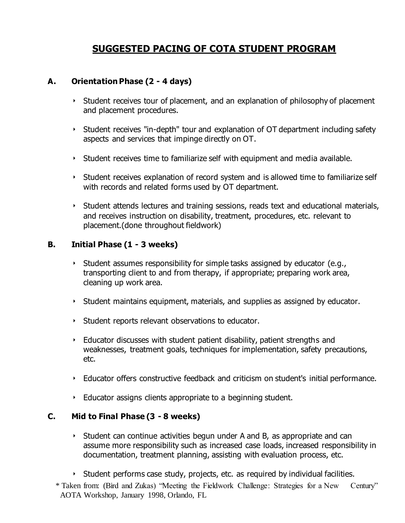## **SUGGESTED PACING OF COTA STUDENT PROGRAM**

### **A. Orientation Phase (2 - 4 days)**

- $\rightarrow$  Student receives tour of placement, and an explanation of philosophy of placement and placement procedures.
- Student receives "in-depth" tour and explanation of OT department including safety aspects and services that impinge directly on OT.
- $\rightarrow$  Student receives time to familiarize self with equipment and media available.
- Student receives explanation of record system and is allowed time to familiarize self with records and related forms used by OT department.
- $\rightarrow$  Student attends lectures and training sessions, reads text and educational materials, and receives instruction on disability, treatment, procedures, etc. relevant to placement.(done throughout fieldwork)

### **B. Initial Phase (1 - 3 weeks)**

- $\rightarrow$  Student assumes responsibility for simple tasks assigned by educator (e.g., transporting client to and from therapy, if appropriate; preparing work area, cleaning up work area.
- $\rightarrow$  Student maintains equipment, materials, and supplies as assigned by educator.
- Student reports relevant observations to educator.
- Educator discusses with student patient disability, patient strengths and weaknesses, treatment goals, techniques for implementation, safety precautions, etc.
- Educator offers constructive feedback and criticism on student's initial performance.
- Educator assigns clients appropriate to a beginning student.

### **C. Mid to Final Phase (3 - 8 weeks)**

- Student can continue activities begun under A and B, as appropriate and can assume more responsibility such as increased case loads, increased responsibility in documentation, treatment planning, assisting with evaluation process, etc.
- $\rightarrow$  Student performs case study, projects, etc. as required by individual facilities.
- \* Taken from: (Bird and Zukas) "Meeting the Fieldwork Challenge: Strategies for a New Century" AOTA Workshop, January 1998, Orlando, FL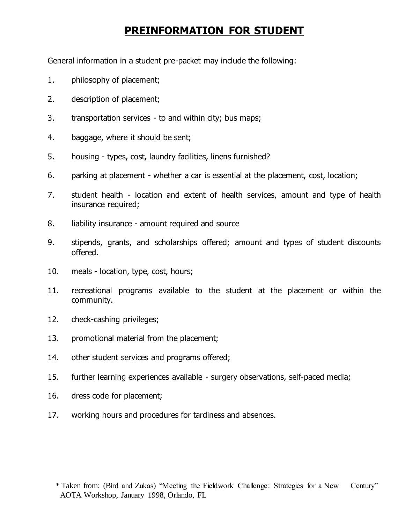# **PREINFORMATION FOR STUDENT**

General information in a student pre-packet may include the following:

- 1. philosophy of placement;
- 2. description of placement;
- 3. transportation services to and within city; bus maps;
- 4. baggage, where it should be sent;
- 5. housing types, cost, laundry facilities, linens furnished?
- 6. parking at placement whether a car is essential at the placement, cost, location;
- 7. student health location and extent of health services, amount and type of health insurance required;
- 8. liability insurance amount required and source
- 9. stipends, grants, and scholarships offered; amount and types of student discounts offered.
- 10. meals location, type, cost, hours;
- 11. recreational programs available to the student at the placement or within the community.
- 12. check-cashing privileges;
- 13. promotional material from the placement;
- 14. other student services and programs offered;
- 15. further learning experiences available surgery observations, self-paced media;
- 16. dress code for placement;
- 17. working hours and procedures for tardiness and absences.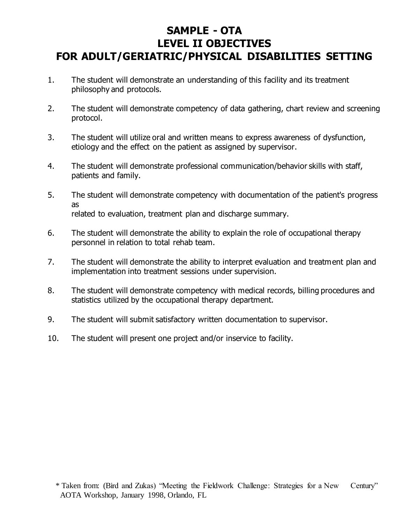# **SAMPLE - OTA LEVEL II OBJECTIVES FOR ADULT/GERIATRIC/PHYSICAL DISABILITIES SETTING**

- 1. The student will demonstrate an understanding of this facility and its treatment philosophy and protocols.
- 2. The student will demonstrate competency of data gathering, chart review and screening protocol.
- 3. The student will utilize oral and written means to express awareness of dysfunction, etiology and the effect on the patient as assigned by supervisor.
- 4. The student will demonstrate professional communication/behavior skills with staff, patients and family.
- 5. The student will demonstrate competency with documentation of the patient's progress as related to evaluation, treatment plan and discharge summary.
- 6. The student will demonstrate the ability to explain the role of occupational therapy personnel in relation to total rehab team.
- 7. The student will demonstrate the ability to interpret evaluation and treatment plan and implementation into treatment sessions under supervision.
- 8. The student will demonstrate competency with medical records, billing procedures and statistics utilized by the occupational therapy department.
- 9. The student will submit satisfactory written documentation to supervisor.
- 10. The student will present one project and/or inservice to facility.

 <sup>\*</sup> Taken from: (Bird and Zukas) "Meeting the Fieldwork Challenge: Strategies for a New Century" AOTA Workshop, January 1998, Orlando, FL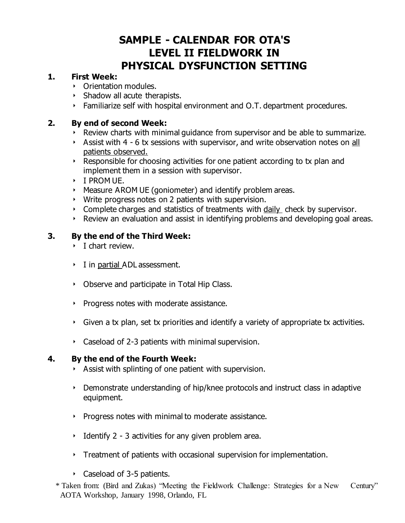# **SAMPLE - CALENDAR FOR OTA'S LEVEL II FIELDWORK IN PHYSICAL DYSFUNCTION SETTING**

### **1. First Week:**

- Orientation modules.
- $\triangleright$  Shadow all acute therapists.
- Familiarize self with hospital environment and O.T. department procedures.

### **2. By end of second Week:**

- $\rightarrow$  Review charts with minimal quidance from supervisor and be able to summarize.
- Assist with 4 6 tx sessions with supervisor, and write observation notes on all patients observed.
- Responsible for choosing activities for one patient according to tx plan and implement them in a session with supervisor.
- I PROM UE.
- Measure AROM UE (goniometer) and identify problem areas.
- Write progress notes on 2 patients with supervision.
- Complete charges and statistics of treatments with daily check by supervisor.
- Review an evaluation and assist in identifying problems and developing goal areas.

### **3. By the end of the Third Week:**

- $\triangleright$  I chart review.
- I in partial ADL assessment.
- Deserve and participate in Total Hip Class.
- Progress notes with moderate assistance.
- Given a tx plan, set tx priorities and identify a variety of appropriate tx activities.
- Caseload of 2-3 patients with minimal supervision.

### **4. By the end of the Fourth Week:**

- Assist with splinting of one patient with supervision.
- Demonstrate understanding of hip/knee protocols and instruct class in adaptive equipment.
- $\rightarrow$  Progress notes with minimal to moderate assistance.
- Identify 2 3 activities for any given problem area.
- $\rightarrow$  Treatment of patients with occasional supervision for implementation.
- Caseload of 3-5 patients.
- \* Taken from: (Bird and Zukas) "Meeting the Fieldwork Challenge: Strategies for a New Century" AOTA Workshop, January 1998, Orlando, FL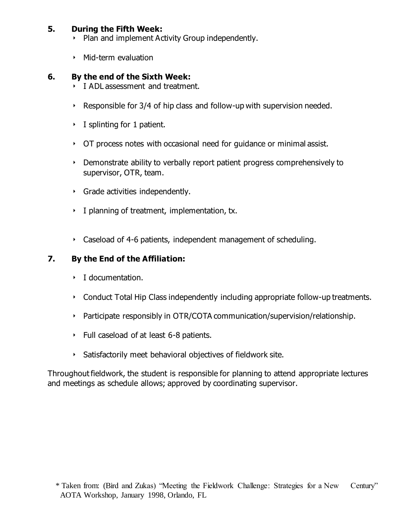### **5. During the Fifth Week:**

- Plan and implement Activity Group independently.
- $\triangleright$  Mid-term evaluation

### **6. By the end of the Sixth Week:**

- I ADL assessment and treatment.
- Responsible for  $3/4$  of hip class and follow-up with supervision needed.
- $\cdot$  I splinting for 1 patient.
- OT process notes with occasional need for guidance or minimal assist.
- Demonstrate ability to verbally report patient progress comprehensively to supervisor, OTR, team.
- Grade activities independently.
- I planning of treatment, implementation, tx.
- Caseload of 4-6 patients, independent management of scheduling.

### **7. By the End of the Affiliation:**

- **I** documentation.
- Conduct Total Hip Class independently including appropriate follow-up treatments.
- Participate responsibly in OTR/COTA communication/supervision/relationship.
- $\cdot$  Full caseload of at least 6-8 patients.
- Satisfactorily meet behavioral objectives of fieldwork site.

Throughout fieldwork, the student is responsible for planning to attend appropriate lectures and meetings as schedule allows; approved by coordinating supervisor.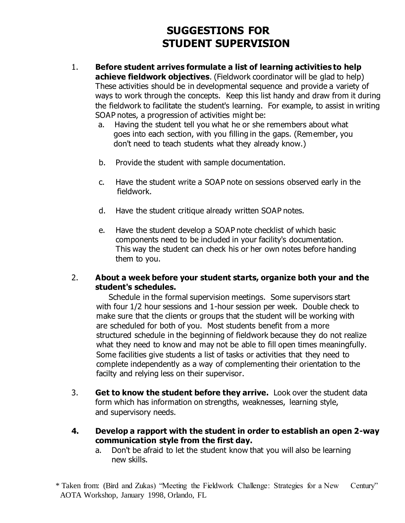# **SUGGESTIONS FOR STUDENT SUPERVISION**

- 1. **Before student arrives formulate a list of learning activities to help achieve fieldwork objectives**. (Fieldwork coordinator will be glad to help) These activities should be in developmental sequence and provide a variety of ways to work through the concepts. Keep this list handy and draw from it during the fieldwork to facilitate the student's learning. For example, to assist in writing SOAP notes, a progression of activities might be:
	- a. Having the student tell you what he or she remembers about what goes into each section, with you filling in the gaps. (Remember, you don't need to teach students what they already know.)
	- b. Provide the student with sample documentation.
	- c. Have the student write a SOAP note on sessions observed early in the fieldwork.
	- d. Have the student critique already written SOAP notes.
	- e. Have the student develop a SOAP note checklist of which basic components need to be included in your facility's documentation. This way the student can check his or her own notes before handing them to you.

### 2. **About a week before your student starts, organize both your and the student's schedules.**

Schedule in the formal supervision meetings. Some supervisors start with four 1/2 hour sessions and 1-hour session per week. Double check to make sure that the clients or groups that the student will be working with are scheduled for both of you. Most students benefit from a more structured schedule in the beginning of fieldwork because they do not realize what they need to know and may not be able to fill open times meaningfully. Some facilities give students a list of tasks or activities that they need to complete independently as a way of complementing their orientation to the facilty and relying less on their supervisor.

- 3. **Get to know the student before they arrive.** Look over the student data form which has information on strengths, weaknesses, learning style, and supervisory needs.
- **4. Develop a rapport with the student in order to establish an open 2-way communication style from the first day.**
	- a. Don't be afraid to let the student know that you will also be learning new skills.

 <sup>\*</sup> Taken from: (Bird and Zukas) "Meeting the Fieldwork Challenge: Strategies for a New Century" AOTA Workshop, January 1998, Orlando, FL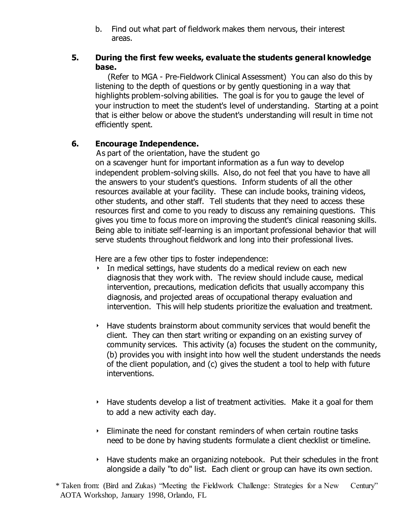b. Find out what part of fieldwork makes them nervous, their interest areas.

### **5. During the first few weeks, evaluate the students general knowledge base.**

 (Refer to MGA - Pre-Fieldwork Clinical Assessment) You can also do this by listening to the depth of questions or by gently questioning in a way that highlights problem-solving abilities. The goal is for you to gauge the level of your instruction to meet the student's level of understanding. Starting at a point that is either below or above the student's understanding will result in time not efficiently spent.

### **6. Encourage Independence.**

 As part of the orientation, have the student go on a scavenger hunt for important information as a fun way to develop independent problem-solving skills. Also, do not feel that you have to have all the answers to your student's questions. Inform students of all the other resources available at your facility. These can include books, training videos, other students, and other staff. Tell students that they need to access these resources first and come to you ready to discuss any remaining questions. This gives you time to focus more on improving the student's clinical reasoning skills. Being able to initiate self-learning is an important professional behavior that will serve students throughout fieldwork and long into their professional lives.

Here are a few other tips to foster independence:

- In medical settings, have students do a medical review on each new diagnosis that they work with. The review should include cause, medical intervention, precautions, medication deficits that usually accompany this diagnosis, and projected areas of occupational therapy evaluation and intervention. This will help students prioritize the evaluation and treatment.
- Have students brainstorm about community services that would benefit the client. They can then start writing or expanding on an existing survey of community services. This activity (a) focuses the student on the community, (b) provides you with insight into how well the student understands the needs of the client population, and (c) gives the student a tool to help with future interventions.
- $\rightarrow$  Have students develop a list of treatment activities. Make it a goal for them to add a new activity each day.
- $\cdot$  Eliminate the need for constant reminders of when certain routine tasks need to be done by having students formulate a client checklist or timeline.
- $\rightarrow$  Have students make an organizing notebook. Put their schedules in the front alongside a daily "to do" list. Each client or group can have its own section.